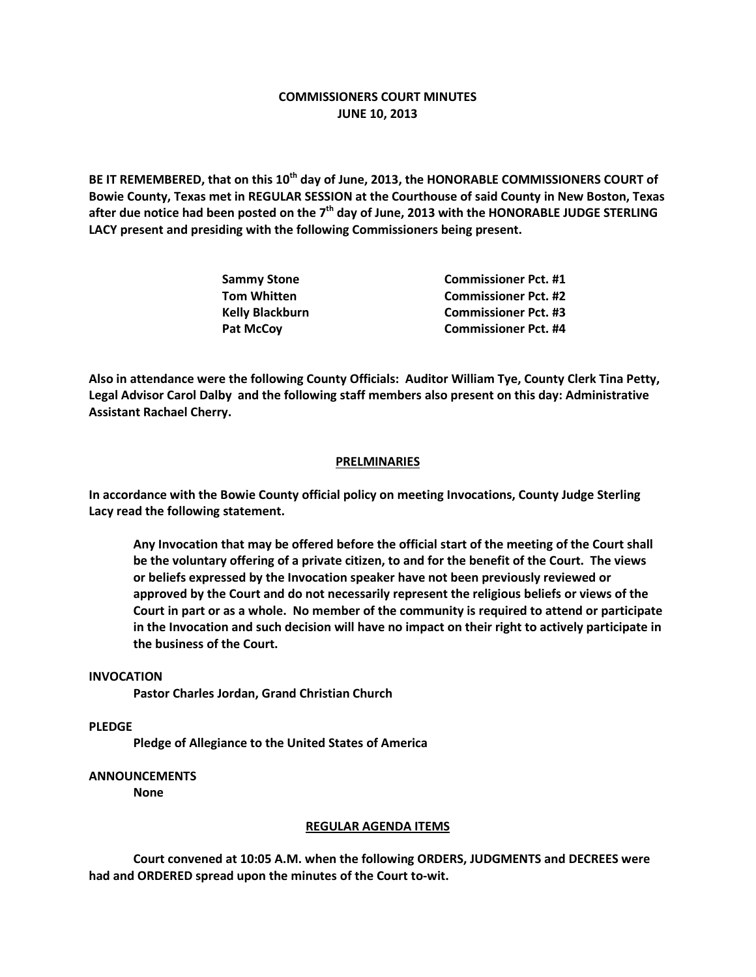# **COMMISSIONERS COURT MINUTES JUNE 10, 2013**

**BE IT REMEMBERED, that on this 10th day of June, 2013, the HONORABLE COMMISSIONERS COURT of Bowie County, Texas met in REGULAR SESSION at the Courthouse of said County in New Boston, Texas after due notice had been posted on the 7th day of June, 2013 with the HONORABLE JUDGE STERLING LACY present and presiding with the following Commissioners being present.**

| Sammy Stone      | <b>Commissioner Pct. #1</b> |
|------------------|-----------------------------|
| Tom Whitten      | <b>Commissioner Pct. #2</b> |
| Kelly Blackburn  | <b>Commissioner Pct. #3</b> |
| <b>Pat McCov</b> | <b>Commissioner Pct. #4</b> |

**Also in attendance were the following County Officials: Auditor William Tye, County Clerk Tina Petty, Legal Advisor Carol Dalby and the following staff members also present on this day: Administrative Assistant Rachael Cherry.**

## **PRELMINARIES**

**In accordance with the Bowie County official policy on meeting Invocations, County Judge Sterling Lacy read the following statement.**

**Any Invocation that may be offered before the official start of the meeting of the Court shall be the voluntary offering of a private citizen, to and for the benefit of the Court. The views or beliefs expressed by the Invocation speaker have not been previously reviewed or approved by the Court and do not necessarily represent the religious beliefs or views of the Court in part or as a whole. No member of the community is required to attend or participate in the Invocation and such decision will have no impact on their right to actively participate in the business of the Court.**

#### **INVOCATION**

**Pastor Charles Jordan, Grand Christian Church**

**PLEDGE**

**Pledge of Allegiance to the United States of America**

### **ANNOUNCEMENTS**

**None**

#### **REGULAR AGENDA ITEMS**

**Court convened at 10:05 A.M. when the following ORDERS, JUDGMENTS and DECREES were had and ORDERED spread upon the minutes of the Court to-wit.**